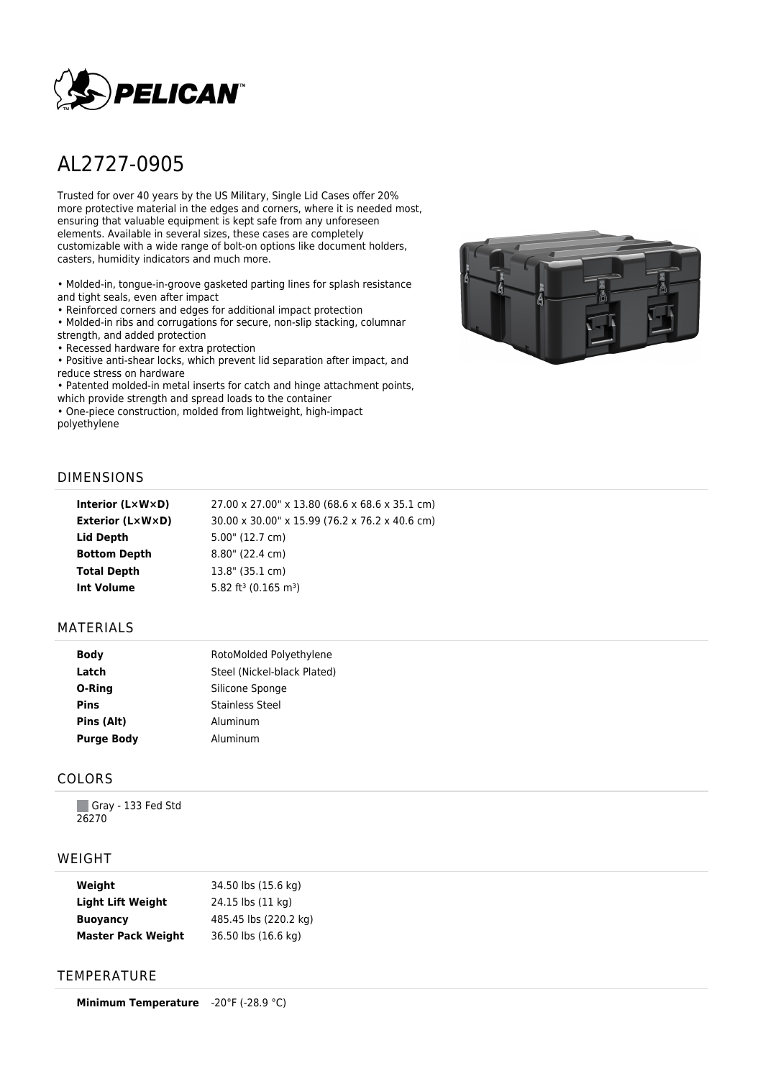

# AL2727-0905

Trusted for over 40 years by the US Military, Single Lid Cases offer 20% more protective material in the edges and corners, where it is needed most, ensuring that valuable equipment is kept safe from any unforeseen elements. Available in several sizes, these cases are completely customizable with a wide range of bolt-on options like document holders, casters, humidity indicators and much more.

• Molded-in, tongue-in-groove gasketed parting lines for splash resistance and tight seals, even after impact

• Reinforced corners and edges for additional impact protection

• Molded-in ribs and corrugations for secure, non-slip stacking, columnar strength, and added protection

• Recessed hardware for extra protection

• Positive anti-shear locks, which prevent lid separation after impact, and reduce stress on hardware

• Patented molded-in metal inserts for catch and hinge attachment points, which provide strength and spread loads to the container

• One-piece construction, molded from lightweight, high-impact polyethylene



#### DIMENSIONS

| Interior (LxWxD)        | 27.00 x 27.00" x 13.80 (68.6 x 68.6 x 35.1 cm) |
|-------------------------|------------------------------------------------|
| <b>Exterior (L×W×D)</b> | 30.00 x 30.00" x 15.99 (76.2 x 76.2 x 40.6 cm) |
| Lid Depth               | 5.00" (12.7 cm)                                |
| <b>Bottom Depth</b>     | $8.80$ " (22.4 cm)                             |
| <b>Total Depth</b>      | 13.8" (35.1 cm)                                |
| Int Volume              | 5.82 ft <sup>3</sup> (0.165 m <sup>3</sup> )   |
|                         |                                                |

#### MATERIALS

| <b>Body</b>       | RotoMolded Polyethylene     |
|-------------------|-----------------------------|
| Latch             | Steel (Nickel-black Plated) |
| O-Ring            | Silicone Sponge             |
| <b>Pins</b>       | <b>Stainless Steel</b>      |
| Pins (Alt)        | Aluminum                    |
| <b>Purge Body</b> | Aluminum                    |

## COLORS

Gray - 133 Fed Std 26270

#### WEIGHT

| Weight                    | 34.50 lbs (15.6 kg)   |
|---------------------------|-----------------------|
| <b>Light Lift Weight</b>  | 24.15 lbs (11 kg)     |
| <b>Buoyancy</b>           | 485.45 lbs (220.2 kg) |
| <b>Master Pack Weight</b> | 36.50 lbs (16.6 kg)   |

## **TEMPERATURE**

**Minimum Temperature** -20°F (-28.9 °C)